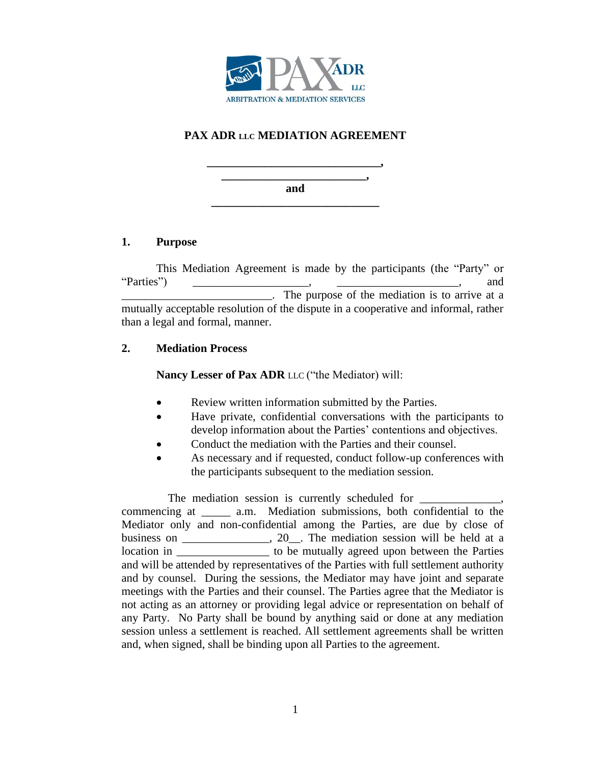

# **PAX ADR LLC MEDIATION AGREEMENT**

**\_\_\_\_\_\_\_\_\_\_\_\_\_\_\_\_\_\_\_\_\_\_\_\_\_, and \_\_\_\_\_\_\_\_\_\_\_\_\_\_\_\_\_\_\_\_\_\_\_\_\_\_\_\_\_**

**\_\_\_\_\_\_\_\_\_\_\_\_\_\_\_\_\_\_\_\_\_\_\_\_\_\_\_\_\_\_,** 

# **1. Purpose**

This Mediation Agreement is made by the participants (the "Party" or "Parties") \_\_\_\_\_\_\_\_\_\_\_\_\_\_\_\_\_\_\_\_, \_\_\_\_\_\_\_\_\_\_\_\_\_\_\_\_\_\_\_\_\_, and \_\_\_\_\_\_\_\_\_\_\_\_\_\_\_\_\_\_\_\_\_\_\_\_\_\_. The purpose of the mediation is to arrive at a mutually acceptable resolution of the dispute in a cooperative and informal, rather than a legal and formal, manner.

# **2. Mediation Process**

**Nancy Lesser of Pax ADR** LLC ("the Mediator) will:

- Review written information submitted by the Parties.
- Have private, confidential conversations with the participants to develop information about the Parties' contentions and objectives.
- Conduct the mediation with the Parties and their counsel.
- As necessary and if requested, conduct follow-up conferences with the participants subsequent to the mediation session.

The mediation session is currently scheduled for \_\_\_\_\_\_\_\_\_\_\_\_\_\_\_\_\_\_\_\_\_\_\_\_\_\_\_\_\_\_\_\_ commencing at \_\_\_\_\_ a.m. Mediation submissions, both confidential to the Mediator only and non-confidential among the Parties, are due by close of business on \_\_\_\_\_\_\_\_\_\_\_, 20\_. The mediation session will be held at a location in \_\_\_\_\_\_\_\_\_\_\_\_\_\_\_\_\_\_\_\_ to be mutually agreed upon between the Parties and will be attended by representatives of the Parties with full settlement authority and by counsel. During the sessions, the Mediator may have joint and separate meetings with the Parties and their counsel. The Parties agree that the Mediator is not acting as an attorney or providing legal advice or representation on behalf of any Party. No Party shall be bound by anything said or done at any mediation session unless a settlement is reached. All settlement agreements shall be written and, when signed, shall be binding upon all Parties to the agreement.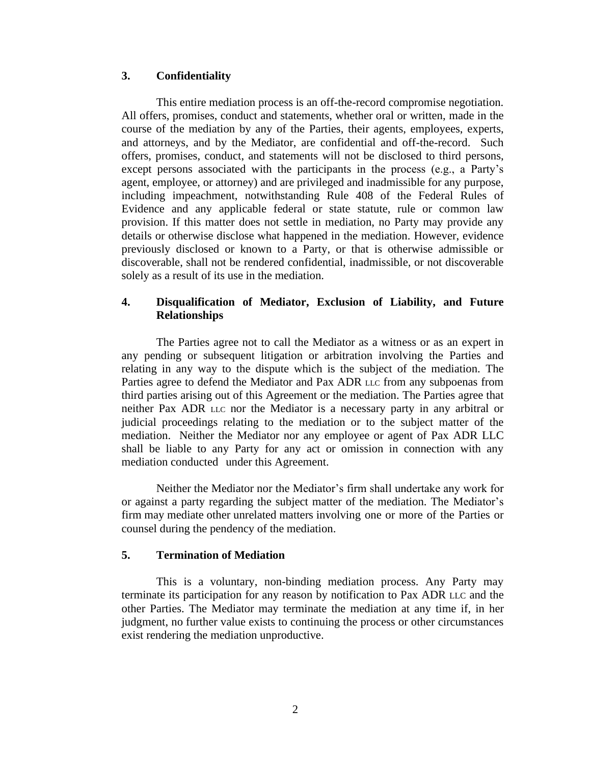#### **3. Confidentiality**

This entire mediation process is an off-the-record compromise negotiation. All offers, promises, conduct and statements, whether oral or written, made in the course of the mediation by any of the Parties, their agents, employees, experts, and attorneys, and by the Mediator, are confidential and off-the-record. Such offers, promises, conduct, and statements will not be disclosed to third persons, except persons associated with the participants in the process (e.g., a Party's agent, employee, or attorney) and are privileged and inadmissible for any purpose, including impeachment, notwithstanding Rule 408 of the Federal Rules of Evidence and any applicable federal or state statute, rule or common law provision. If this matter does not settle in mediation, no Party may provide any details or otherwise disclose what happened in the mediation. However, evidence previously disclosed or known to a Party, or that is otherwise admissible or discoverable, shall not be rendered confidential, inadmissible, or not discoverable solely as a result of its use in the mediation.

### **4. Disqualification of Mediator, Exclusion of Liability, and Future Relationships**

The Parties agree not to call the Mediator as a witness or as an expert in any pending or subsequent litigation or arbitration involving the Parties and relating in any way to the dispute which is the subject of the mediation. The Parties agree to defend the Mediator and Pax ADR LLC from any subpoenas from third parties arising out of this Agreement or the mediation. The Parties agree that neither Pax ADR LLC nor the Mediator is a necessary party in any arbitral or judicial proceedings relating to the mediation or to the subject matter of the mediation. Neither the Mediator nor any employee or agent of Pax ADR LLC shall be liable to any Party for any act or omission in connection with any mediation conducted under this Agreement.

Neither the Mediator nor the Mediator's firm shall undertake any work for or against a party regarding the subject matter of the mediation. The Mediator's firm may mediate other unrelated matters involving one or more of the Parties or counsel during the pendency of the mediation.

#### **5. Termination of Mediation**

This is a voluntary, non-binding mediation process. Any Party may terminate its participation for any reason by notification to Pax ADR LLC and the other Parties. The Mediator may terminate the mediation at any time if, in her judgment, no further value exists to continuing the process or other circumstances exist rendering the mediation unproductive.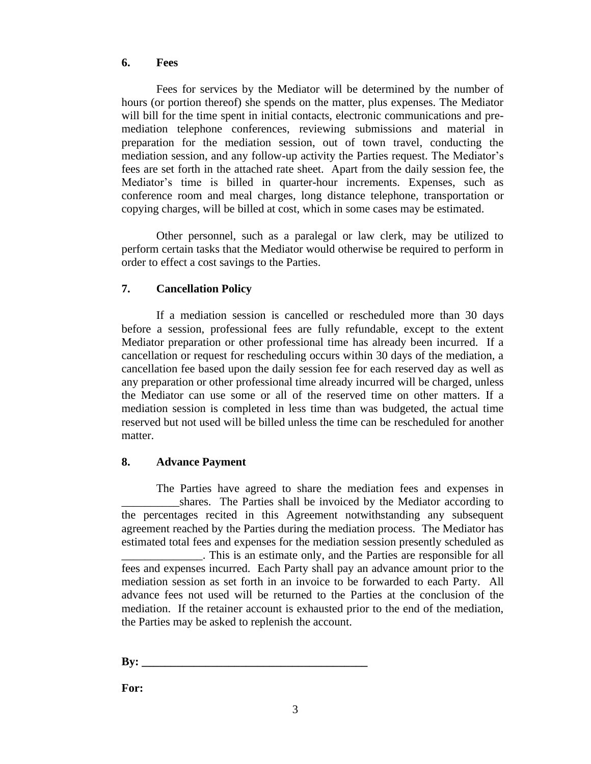#### **6. Fees**

Fees for services by the Mediator will be determined by the number of hours (or portion thereof) she spends on the matter, plus expenses. The Mediator will bill for the time spent in initial contacts, electronic communications and premediation telephone conferences, reviewing submissions and material in preparation for the mediation session, out of town travel, conducting the mediation session, and any follow-up activity the Parties request. The Mediator's fees are set forth in the attached rate sheet. Apart from the daily session fee, the Mediator's time is billed in quarter-hour increments. Expenses, such as conference room and meal charges, long distance telephone, transportation or copying charges, will be billed at cost, which in some cases may be estimated.

Other personnel, such as a paralegal or law clerk, may be utilized to perform certain tasks that the Mediator would otherwise be required to perform in order to effect a cost savings to the Parties.

# **7. Cancellation Policy**

If a mediation session is cancelled or rescheduled more than 30 days before a session, professional fees are fully refundable, except to the extent Mediator preparation or other professional time has already been incurred. If a cancellation or request for rescheduling occurs within 30 days of the mediation, a cancellation fee based upon the daily session fee for each reserved day as well as any preparation or other professional time already incurred will be charged, unless the Mediator can use some or all of the reserved time on other matters. If a mediation session is completed in less time than was budgeted, the actual time reserved but not used will be billed unless the time can be rescheduled for another matter.

#### **8. Advance Payment**

The Parties have agreed to share the mediation fees and expenses in shares. The Parties shall be invoiced by the Mediator according to the percentages recited in this Agreement notwithstanding any subsequent agreement reached by the Parties during the mediation process. The Mediator has estimated total fees and expenses for the mediation session presently scheduled as \_\_\_\_\_\_\_\_\_\_\_\_\_\_. This is an estimate only, and the Parties are responsible for all fees and expenses incurred. Each Party shall pay an advance amount prior to the mediation session as set forth in an invoice to be forwarded to each Party. All advance fees not used will be returned to the Parties at the conclusion of the mediation. If the retainer account is exhausted prior to the end of the mediation, the Parties may be asked to replenish the account.

**By: \_\_\_\_\_\_\_\_\_\_\_\_\_\_\_\_\_\_\_\_\_\_\_\_\_\_\_\_\_\_\_\_\_\_\_\_\_\_\_**

**For:**